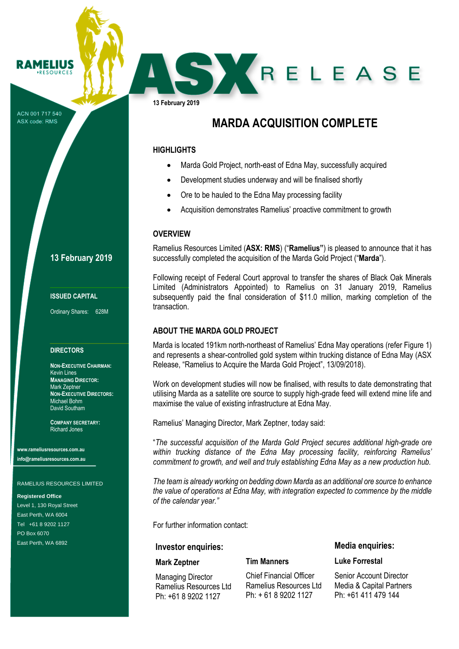ACN 001 717 540 ASX code: RMS

RAMELIUS **RESOURCES** 

# **13 February 2019**

#### **ISSUED CAPITAL**

Ordinary Shares: 628M

#### **DIRECTORS**

**NON-EXECUTIVE CHAIRMAN:** Kevin Lines **MANAGING DIRECTOR:** Mark Zeptner **NON-EXECUTIVE DIRECTORS:** Michael Bohm David Southam

**COMPANY SECRETARY:** Richard Jones

**www.rameliusresources.com.au info@rameliusresources.com.au**

#### RAMELIUS RESOURCES LIMITED

#### **Registered Office**

Level 1, 130 Royal Street East Perth, WA 6004 Tel +61 8 9202 1127 PO Box 6070 East Perth, WA 6892

**13 February 2019**

# **MARDA ACQUISITION COMPLETE**

SXRELEASE

## **HIGHLIGHTS**

- Marda Gold Project, north-east of Edna May, successfully acquired
- Development studies underway and will be finalised shortly
- Ore to be hauled to the Edna May processing facility
- Acquisition demonstrates Ramelius' proactive commitment to growth

### **OVERVIEW**

Ramelius Resources Limited (**ASX: RMS**) ("**Ramelius"**) is pleased to announce that it has successfully completed the acquisition of the Marda Gold Project ("**Marda**").

Following receipt of Federal Court approval to transfer the shares of Black Oak Minerals Limited (Administrators Appointed) to Ramelius on 31 January 2019, Ramelius subsequently paid the final consideration of \$11.0 million, marking completion of the transaction.

## **ABOUT THE MARDA GOLD PROJECT**

Marda is located 191km north-northeast of Ramelius' Edna May operations (refer Figure 1) and represents a shear-controlled gold system within trucking distance of Edna May (ASX Release, "Ramelius to Acquire the Marda Gold Project", 13/09/2018).

Work on development studies will now be finalised, with results to date demonstrating that utilising Marda as a satellite ore source to supply high-grade feed will extend mine life and maximise the value of existing infrastructure at Edna May.

Ramelius' Managing Director, Mark Zeptner, today said:

"*The successful acquisition of the Marda Gold Project secures additional high-grade ore within trucking distance of the Edna May processing facility, reinforcing Ramelius' commitment to growth, and well and truly establishing Edna May as a new production hub.*

*The team is already working on bedding down Marda as an additional ore source to enhance the value of operations at Edna May, with integration expected to commence by the middle of the calendar year."*

For further information contact:

#### **Investor enquiries:**

#### **Mark Zeptner**

Managing Director Ramelius Resources Ltd Ph: +61 8 9202 1127

| <b>Chief Financial Officer</b> |
|--------------------------------|
| Ramelius Resources Ltd         |
| $Ph: + 61892021127$            |

**Tim Manners**

**Media enquiries:**

## **Luke Forrestal**

Senior Account Director Media & Capital Partners Ph: +61 411 479 144